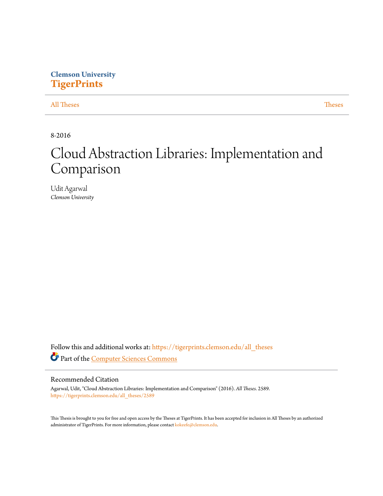# **Clemson University [TigerPrints](https://tigerprints.clemson.edu?utm_source=tigerprints.clemson.edu%2Fall_theses%2F2589&utm_medium=PDF&utm_campaign=PDFCoverPages)**

# [All Theses](https://tigerprints.clemson.edu/all_theses?utm_source=tigerprints.clemson.edu%2Fall_theses%2F2589&utm_medium=PDF&utm_campaign=PDFCoverPages) **[Theses](https://tigerprints.clemson.edu/theses?utm_source=tigerprints.clemson.edu%2Fall_theses%2F2589&utm_medium=PDF&utm_campaign=PDFCoverPages)**

8-2016

# Cloud Abstraction Libraries: Implementation and Comparison

Udit Agarwal *Clemson University*

Follow this and additional works at: [https://tigerprints.clemson.edu/all\\_theses](https://tigerprints.clemson.edu/all_theses?utm_source=tigerprints.clemson.edu%2Fall_theses%2F2589&utm_medium=PDF&utm_campaign=PDFCoverPages) Part of the [Computer Sciences Commons](http://network.bepress.com/hgg/discipline/142?utm_source=tigerprints.clemson.edu%2Fall_theses%2F2589&utm_medium=PDF&utm_campaign=PDFCoverPages)

# Recommended Citation

Agarwal, Udit, "Cloud Abstraction Libraries: Implementation and Comparison" (2016). *All Theses*. 2589. [https://tigerprints.clemson.edu/all\\_theses/2589](https://tigerprints.clemson.edu/all_theses/2589?utm_source=tigerprints.clemson.edu%2Fall_theses%2F2589&utm_medium=PDF&utm_campaign=PDFCoverPages)

This Thesis is brought to you for free and open access by the Theses at TigerPrints. It has been accepted for inclusion in All Theses by an authorized administrator of TigerPrints. For more information, please contact [kokeefe@clemson.edu](mailto:kokeefe@clemson.edu).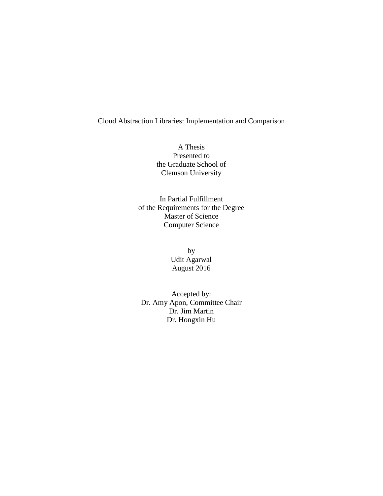Cloud Abstraction Libraries: Implementation and Comparison

A Thesis Presented to the Graduate School of Clemson University

In Partial Fulfillment of the Requirements for the Degree Master of Science Computer Science

> by Udit Agarwal August 2016

Accepted by: Dr. Amy Apon, Committee Chair Dr. Jim Martin Dr. Hongxin Hu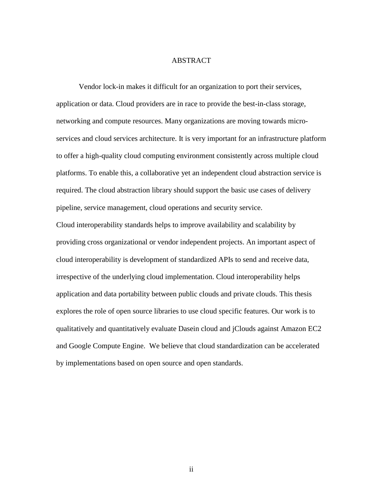#### ABSTRACT

Vendor lock-in makes it difficult for an organization to port their services, application or data. Cloud providers are in race to provide the best-in-class storage, networking and compute resources. Many organizations are moving towards microservices and cloud services architecture. It is very important for an infrastructure platform to offer a high-quality cloud computing environment consistently across multiple cloud platforms. To enable this, a collaborative yet an independent cloud abstraction service is required. The cloud abstraction library should support the basic use cases of delivery pipeline, service management, cloud operations and security service.

Cloud interoperability standards helps to improve availability and scalability by providing cross organizational or vendor independent projects. An important aspect of cloud interoperability is development of standardized APIs to send and receive data, irrespective of the underlying cloud implementation. Cloud interoperability helps application and data portability between public clouds and private clouds. This thesis explores the role of open source libraries to use cloud specific features. Our work is to qualitatively and quantitatively evaluate Dasein cloud and jClouds against Amazon EC2 and Google Compute Engine. We believe that cloud standardization can be accelerated by implementations based on open source and open standards.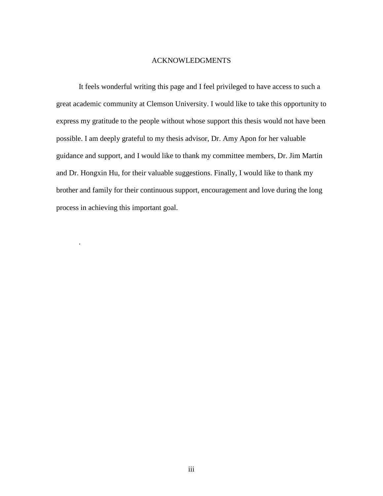# ACKNOWLEDGMENTS

It feels wonderful writing this page and I feel privileged to have access to such a great academic community at Clemson University. I would like to take this opportunity to express my gratitude to the people without whose support this thesis would not have been possible. I am deeply grateful to my thesis advisor, Dr. Amy Apon for her valuable guidance and support, and I would like to thank my committee members, Dr. Jim Martin and Dr. Hongxin Hu, for their valuable suggestions. Finally, I would like to thank my brother and family for their continuous support, encouragement and love during the long process in achieving this important goal.

.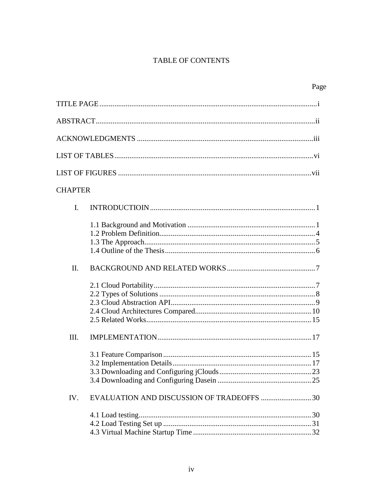# TABLE OF CONTENTS

| <b>CHAPTER</b>                                   |
|--------------------------------------------------|
| $\mathbf{I}$ .                                   |
|                                                  |
| Π.                                               |
|                                                  |
| III.                                             |
|                                                  |
| IV.<br>EVALUATION AND DISCUSSION OF TRADEOFFS 30 |
|                                                  |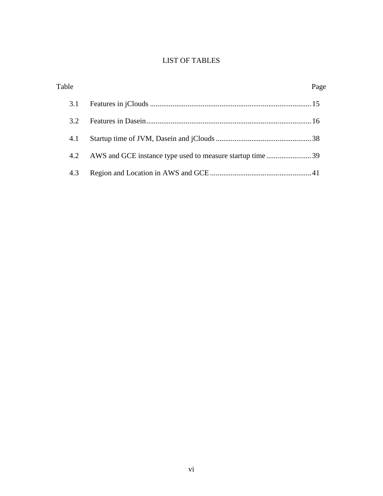# LIST OF TABLES

| Table |                                                          | Page |
|-------|----------------------------------------------------------|------|
| 3.1   |                                                          |      |
| 3.2   |                                                          |      |
| 4.1   |                                                          |      |
| 4.2   | AWS and GCE instance type used to measure startup time39 |      |
| 4.3   |                                                          |      |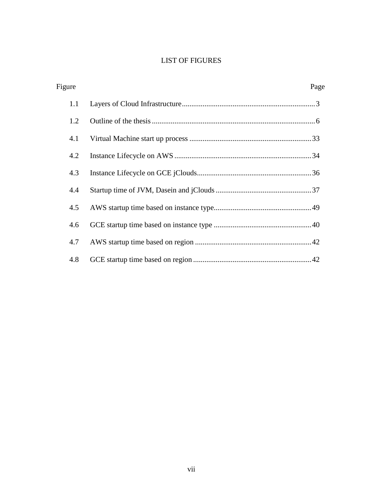# LIST OF FIGURES

| Figure | Page |
|--------|------|
| 1.1    |      |
| 1.2    |      |
| 4.1    |      |
| 4.2    |      |
| 4.3    |      |
| 4.4    |      |
| 4.5    |      |
| 4.6    |      |
| 4.7    |      |
| 4.8    |      |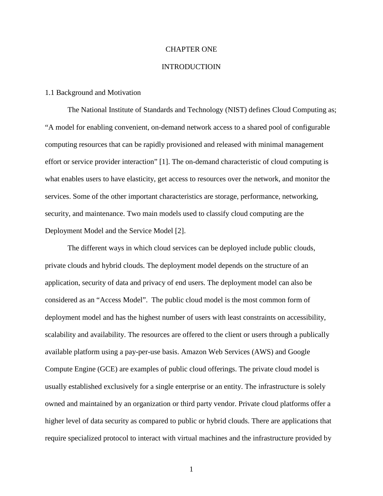# CHAPTER ONE

#### INTRODUCTIOIN

#### 1.1 Background and Motivation

The National Institute of Standards and Technology (NIST) defines Cloud Computing as; "A model for enabling convenient, on-demand network access to a shared pool of configurable computing resources that can be rapidly provisioned and released with minimal management effort or service provider interaction" [1]. The on-demand characteristic of cloud computing is what enables users to have elasticity, get access to resources over the network, and monitor the services. Some of the other important characteristics are storage, performance, networking, security, and maintenance. Two main models used to classify cloud computing are the Deployment Model and the Service Model [2].

The different ways in which cloud services can be deployed include public clouds, private clouds and hybrid clouds. The deployment model depends on the structure of an application, security of data and privacy of end users. The deployment model can also be considered as an "Access Model". The public cloud model is the most common form of deployment model and has the highest number of users with least constraints on accessibility, scalability and availability. The resources are offered to the client or users through a publically available platform using a pay-per-use basis. Amazon Web Services (AWS) and Google Compute Engine (GCE) are examples of public cloud offerings. The private cloud model is usually established exclusively for a single enterprise or an entity. The infrastructure is solely owned and maintained by an organization or third party vendor. Private cloud platforms offer a higher level of data security as compared to public or hybrid clouds. There are applications that require specialized protocol to interact with virtual machines and the infrastructure provided by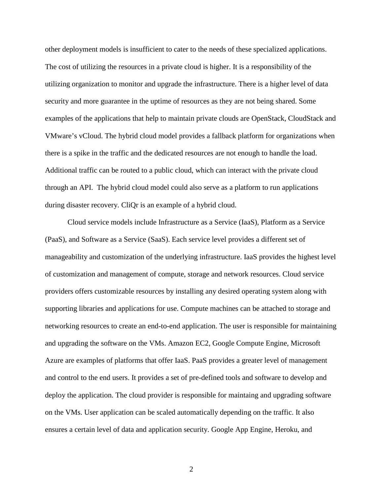other deployment models is insufficient to cater to the needs of these specialized applications. The cost of utilizing the resources in a private cloud is higher. It is a responsibility of the utilizing organization to monitor and upgrade the infrastructure. There is a higher level of data security and more guarantee in the uptime of resources as they are not being shared. Some examples of the applications that help to maintain private clouds are OpenStack, CloudStack and VMware's vCloud. The hybrid cloud model provides a fallback platform for organizations when there is a spike in the traffic and the dedicated resources are not enough to handle the load. Additional traffic can be routed to a public cloud, which can interact with the private cloud through an API. The hybrid cloud model could also serve as a platform to run applications during disaster recovery. CliQr is an example of a hybrid cloud.

Cloud service models include Infrastructure as a Service (IaaS), Platform as a Service (PaaS), and Software as a Service (SaaS). Each service level provides a different set of manageability and customization of the underlying infrastructure. IaaS provides the highest level of customization and management of compute, storage and network resources. Cloud service providers offers customizable resources by installing any desired operating system along with supporting libraries and applications for use. Compute machines can be attached to storage and networking resources to create an end-to-end application. The user is responsible for maintaining and upgrading the software on the VMs. Amazon EC2, Google Compute Engine, Microsoft Azure are examples of platforms that offer IaaS. PaaS provides a greater level of management and control to the end users. It provides a set of pre-defined tools and software to develop and deploy the application. The cloud provider is responsible for maintaing and upgrading software on the VMs. User application can be scaled automatically depending on the traffic. It also ensures a certain level of data and application security. Google App Engine, Heroku, and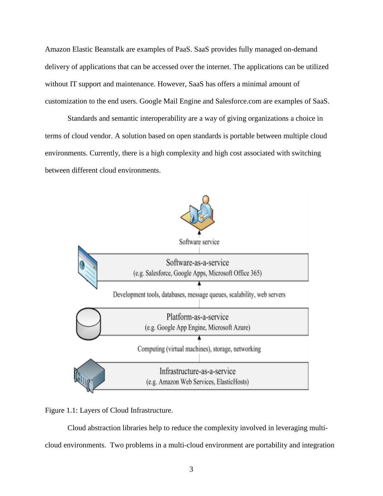Amazon Elastic Beanstalk are examples of PaaS. SaaS provides fully managed on-demand delivery of applications that can be accessed over the internet. The applications can be utilized without IT support and maintenance. However, SaaS has offers a minimal amount of customization to the end users. Google Mail Engine and Salesforce.com are examples of SaaS.

Standards and semantic interoperability are a way of giving organizations a choice in terms of cloud vendor. A solution based on open standards is portable between multiple cloud environments. Currently, there is a high complexity and high cost associated with switching between different cloud environments.



Figure 1.1: Layers of Cloud Infrastructure.

Cloud abstraction libraries help to reduce the complexity involved in leveraging multicloud environments. Two problems in a multi-cloud environment are portability and integration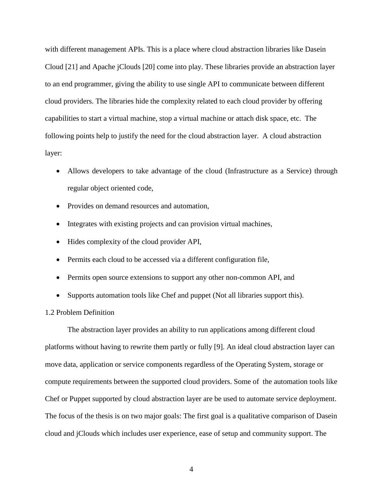with different management APIs. This is a place where cloud abstraction libraries like Dasein Cloud [21] and Apache jClouds [20] come into play. These libraries provide an abstraction layer to an end programmer, giving the ability to use single API to communicate between different cloud providers. The libraries hide the complexity related to each cloud provider by offering capabilities to start a virtual machine, stop a virtual machine or attach disk space, etc. The following points help to justify the need for the cloud abstraction layer. A cloud abstraction layer:

- Allows developers to take advantage of the cloud (Infrastructure as a Service) through regular object oriented code,
- Provides on demand resources and automation,
- Integrates with existing projects and can provision virtual machines,
- Hides complexity of the cloud provider API,
- Permits each cloud to be accessed via a different configuration file,
- Permits open source extensions to support any other non-common API, and
- Supports automation tools like Chef and puppet (Not all libraries support this).

#### 1.2 Problem Definition

The abstraction layer provides an ability to run applications among different cloud platforms without having to rewrite them partly or fully [9]. An ideal cloud abstraction layer can move data, application or service components regardless of the Operating System, storage or compute requirements between the supported cloud providers. Some of the automation tools like Chef or Puppet supported by cloud abstraction layer are be used to automate service deployment. The focus of the thesis is on two major goals: The first goal is a qualitative comparison of Dasein cloud and jClouds which includes user experience, ease of setup and community support. The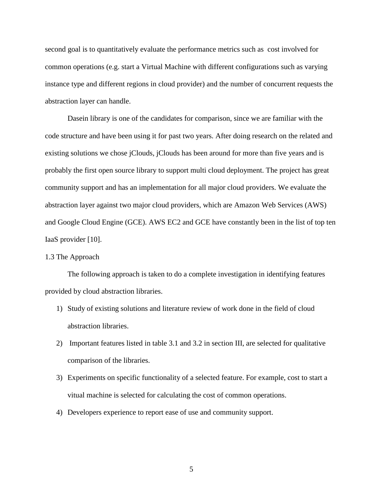second goal is to quantitatively evaluate the performance metrics such as cost involved for common operations (e.g. start a Virtual Machine with different configurations such as varying instance type and different regions in cloud provider) and the number of concurrent requests the abstraction layer can handle.

Dasein library is one of the candidates for comparison, since we are familiar with the code structure and have been using it for past two years. After doing research on the related and existing solutions we chose jClouds, jClouds has been around for more than five years and is probably the first open source library to support multi cloud deployment. The project has great community support and has an implementation for all major cloud providers. We evaluate the abstraction layer against two major cloud providers, which are Amazon Web Services (AWS) and Google Cloud Engine (GCE). AWS EC2 and GCE have constantly been in the list of top ten IaaS provider [10].

# 1.3 The Approach

The following approach is taken to do a complete investigation in identifying features provided by cloud abstraction libraries.

- 1) Study of existing solutions and literature review of work done in the field of cloud abstraction libraries.
- 2) Important features listed in table 3.1 and 3.2 in section III, are selected for qualitative comparison of the libraries.
- 3) Experiments on specific functionality of a selected feature. For example, cost to start a vitual machine is selected for calculating the cost of common operations.
- 4) Developers experience to report ease of use and community support.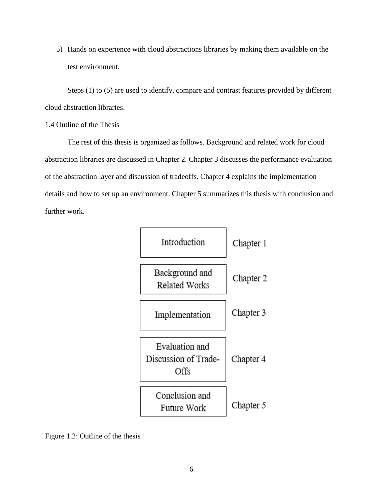5) Hands on experience with cloud abstractions libraries by making them available on the test environment.

Steps (1) to (5) are used to identify, compare and contrast features provided by different cloud abstraction libraries.

# 1.4 Outline of the Thesis

The rest of this thesis is organized as follows. Background and related work for cloud abstraction libraries are discussed in Chapter 2. Chapter 3 discusses the performance evaluation of the abstraction layer and discussion of tradeoffs. Chapter 4 explains the implementation details and how to set up an environment. Chapter 5 summarizes this thesis with conclusion and further work.



Figure 1.2: Outline of the thesis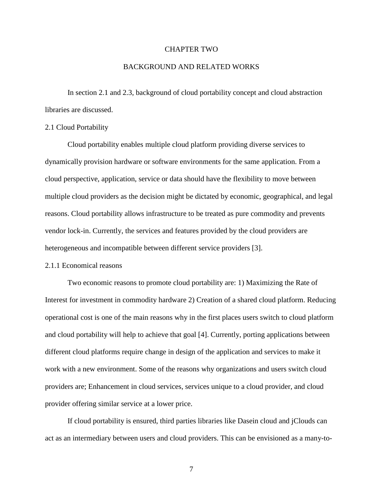# CHAPTER TWO

#### BACKGROUND AND RELATED WORKS

In section 2.1 and 2.3, background of cloud portability concept and cloud abstraction libraries are discussed.

#### 2.1 Cloud Portability

Cloud portability enables multiple cloud platform providing diverse services to dynamically provision hardware or software environments for the same application. From a cloud perspective, application, service or data should have the flexibility to move between multiple cloud providers as the decision might be dictated by economic, geographical, and legal reasons. Cloud portability allows infrastructure to be treated as pure commodity and prevents vendor lock-in. Currently, the services and features provided by the cloud providers are heterogeneous and incompatible between different service providers [3].

# 2.1.1 Economical reasons

Two economic reasons to promote cloud portability are: 1) Maximizing the Rate of Interest for investment in commodity hardware 2) Creation of a shared cloud platform. Reducing operational cost is one of the main reasons why in the first places users switch to cloud platform and cloud portability will help to achieve that goal [4]. Currently, porting applications between different cloud platforms require change in design of the application and services to make it work with a new environment. Some of the reasons why organizations and users switch cloud providers are; Enhancement in cloud services, services unique to a cloud provider, and cloud provider offering similar service at a lower price.

If cloud portability is ensured, third parties libraries like Dasein cloud and jClouds can act as an intermediary between users and cloud providers. This can be envisioned as a many-to-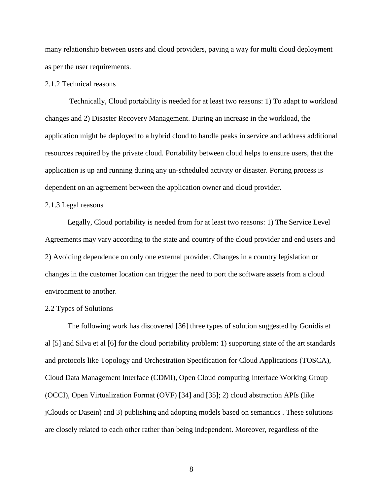many relationship between users and cloud providers, paving a way for multi cloud deployment as per the user requirements.

# 2.1.2 Technical reasons

Technically, Cloud portability is needed for at least two reasons: 1) To adapt to workload changes and 2) Disaster Recovery Management. During an increase in the workload, the application might be deployed to a hybrid cloud to handle peaks in service and address additional resources required by the private cloud. Portability between cloud helps to ensure users, that the application is up and running during any un-scheduled activity or disaster. Porting process is dependent on an agreement between the application owner and cloud provider.

# 2.1.3 Legal reasons

Legally, Cloud portability is needed from for at least two reasons: 1) The Service Level Agreements may vary according to the state and country of the cloud provider and end users and 2) Avoiding dependence on only one external provider. Changes in a country legislation or changes in the customer location can trigger the need to port the software assets from a cloud environment to another.

#### 2.2 Types of Solutions

The following work has discovered [36] three types of solution suggested by Gonidis et al [5] and Silva et al [6] for the cloud portability problem: 1) supporting state of the art standards and protocols like Topology and Orchestration Specification for Cloud Applications (TOSCA), Cloud Data Management Interface (CDMI), Open Cloud computing Interface Working Group (OCCI), Open Virtualization Format (OVF) [34] and [35]; 2) cloud abstraction APIs (like jClouds or Dasein) and 3) publishing and adopting models based on semantics . These solutions are closely related to each other rather than being independent. Moreover, regardless of the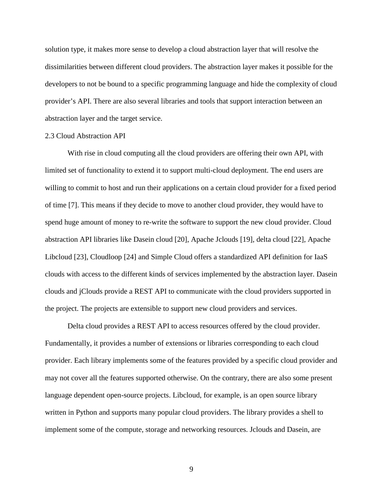solution type, it makes more sense to develop a cloud abstraction layer that will resolve the dissimilarities between different cloud providers. The abstraction layer makes it possible for the developers to not be bound to a specific programming language and hide the complexity of cloud provider's API. There are also several libraries and tools that support interaction between an abstraction layer and the target service.

#### 2.3 Cloud Abstraction API

With rise in cloud computing all the cloud providers are offering their own API, with limited set of functionality to extend it to support multi-cloud deployment. The end users are willing to commit to host and run their applications on a certain cloud provider for a fixed period of time [7]. This means if they decide to move to another cloud provider, they would have to spend huge amount of money to re-write the software to support the new cloud provider. Cloud abstraction API libraries like Dasein cloud [20], Apache Jclouds [19], delta cloud [22], Apache Libcloud [23], Cloudloop [24] and Simple Cloud offers a standardized API definition for IaaS clouds with access to the different kinds of services implemented by the abstraction layer. Dasein clouds and jClouds provide a REST API to communicate with the cloud providers supported in the project. The projects are extensible to support new cloud providers and services.

Delta cloud provides a REST API to access resources offered by the cloud provider. Fundamentally, it provides a number of extensions or libraries corresponding to each cloud provider. Each library implements some of the features provided by a specific cloud provider and may not cover all the features supported otherwise. On the contrary, there are also some present language dependent open-source projects. Libcloud, for example, is an open source library written in Python and supports many popular cloud providers. The library provides a shell to implement some of the compute, storage and networking resources. Jclouds and Dasein, are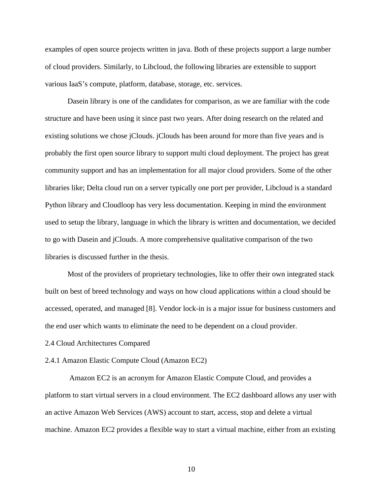examples of open source projects written in java. Both of these projects support a large number of cloud providers. Similarly, to Libcloud, the following libraries are extensible to support various IaaS's compute, platform, database, storage, etc. services.

Dasein library is one of the candidates for comparison, as we are familiar with the code structure and have been using it since past two years. After doing research on the related and existing solutions we chose jClouds. jClouds has been around for more than five years and is probably the first open source library to support multi cloud deployment. The project has great community support and has an implementation for all major cloud providers. Some of the other libraries like; Delta cloud run on a server typically one port per provider, Libcloud is a standard Python library and Cloudloop has very less documentation. Keeping in mind the environment used to setup the library, language in which the library is written and documentation, we decided to go with Dasein and jClouds. A more comprehensive qualitative comparison of the two libraries is discussed further in the thesis.

Most of the providers of proprietary technologies, like to offer their own integrated stack built on best of breed technology and ways on how cloud applications within a cloud should be accessed, operated, and managed [8]. Vendor lock-in is a major issue for business customers and the end user which wants to eliminate the need to be dependent on a cloud provider.

#### 2.4 Cloud Architectures Compared

#### 2.4.1 Amazon Elastic Compute Cloud (Amazon EC2)

Amazon EC2 is an acronym for Amazon Elastic Compute Cloud, and provides a platform to start virtual servers in a cloud environment. The EC2 dashboard allows any user with an active Amazon Web Services (AWS) account to start, access, stop and delete a virtual machine. Amazon EC2 provides a flexible way to start a virtual machine, either from an existing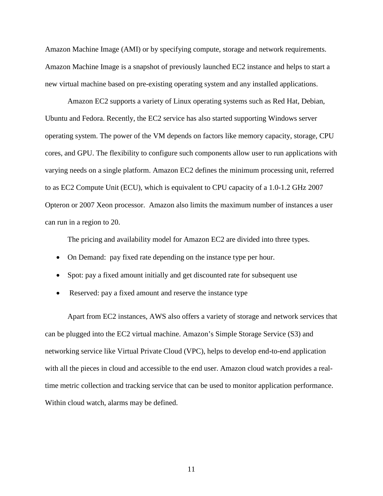Amazon Machine Image (AMI) or by specifying compute, storage and network requirements. Amazon Machine Image is a snapshot of previously launched EC2 instance and helps to start a new virtual machine based on pre-existing operating system and any installed applications.

Amazon EC2 supports a variety of Linux operating systems such as Red Hat, Debian, Ubuntu and Fedora. Recently, the EC2 service has also started supporting Windows server operating system. The power of the VM depends on factors like memory capacity, storage, CPU cores, and GPU. The flexibility to configure such components allow user to run applications with varying needs on a single platform. Amazon EC2 defines the minimum processing unit, referred to as EC2 Compute Unit (ECU), which is equivalent to CPU capacity of a 1.0-1.2 GHz 2007 Opteron or 2007 Xeon processor. Amazon also limits the maximum number of instances a user can run in a region to 20.

The pricing and availability model for Amazon EC2 are divided into three types.

- On Demand: pay fixed rate depending on the instance type per hour.
- Spot: pay a fixed amount initially and get discounted rate for subsequent use
- Reserved: pay a fixed amount and reserve the instance type

Apart from EC2 instances, AWS also offers a variety of storage and network services that can be plugged into the EC2 virtual machine. Amazon's Simple Storage Service (S3) and networking service like Virtual Private Cloud (VPC), helps to develop end-to-end application with all the pieces in cloud and accessible to the end user. Amazon cloud watch provides a realtime metric collection and tracking service that can be used to monitor application performance. Within cloud watch, alarms may be defined.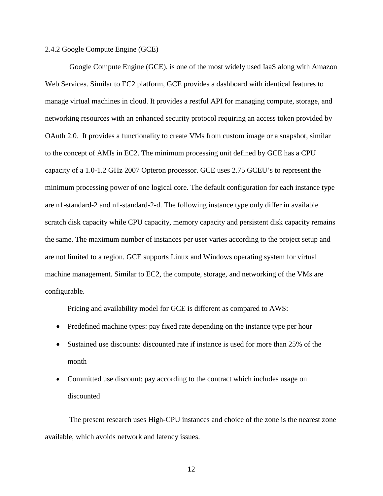#### 2.4.2 Google Compute Engine (GCE)

Google Compute Engine (GCE), is one of the most widely used IaaS along with Amazon Web Services. Similar to EC2 platform, GCE provides a dashboard with identical features to manage virtual machines in cloud. It provides a restful API for managing compute, storage, and networking resources with an enhanced security protocol requiring an access token provided by OAuth 2.0. It provides a functionality to create VMs from custom image or a snapshot, similar to the concept of AMIs in EC2. The minimum processing unit defined by GCE has a CPU capacity of a 1.0-1.2 GHz 2007 Opteron processor. GCE uses 2.75 GCEU's to represent the minimum processing power of one logical core. The default configuration for each instance type are n1-standard-2 and n1-standard-2-d. The following instance type only differ in available scratch disk capacity while CPU capacity, memory capacity and persistent disk capacity remains the same. The maximum number of instances per user varies according to the project setup and are not limited to a region. GCE supports Linux and Windows operating system for virtual machine management. Similar to EC2, the compute, storage, and networking of the VMs are configurable.

Pricing and availability model for GCE is different as compared to AWS:

- Predefined machine types: pay fixed rate depending on the instance type per hour
- Sustained use discounts: discounted rate if instance is used for more than 25% of the month
- Committed use discount: pay according to the contract which includes usage on discounted

The present research uses High-CPU instances and choice of the zone is the nearest zone available, which avoids network and latency issues.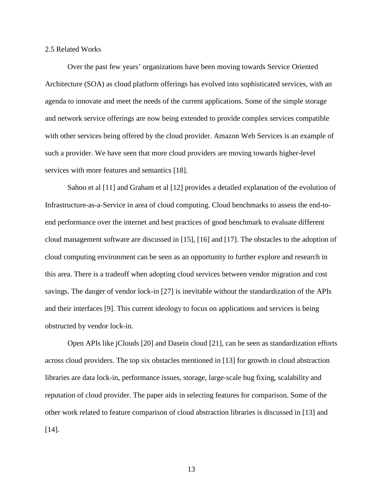#### 2.5 Related Works

Over the past few years' organizations have been moving towards Service Oriented Architecture (SOA) as cloud platform offerings has evolved into sophisticated services, with an agenda to innovate and meet the needs of the current applications. Some of the simple storage and network service offerings are now being extended to provide complex services compatible with other services being offered by the cloud provider. Amazon Web Services is an example of such a provider. We have seen that more cloud providers are moving towards higher-level services with more features and semantics [18].

Sahoo et al [11] and Graham et al [12] provides a detailed explanation of the evolution of Infrastructure-as-a-Service in area of cloud computing. Cloud benchmarks to assess the end-toend performance over the internet and best practices of good benchmark to evaluate different cloud management software are discussed in [15], [16] and [17]. The obstacles to the adoption of cloud computing environment can be seen as an opportunity to further explore and research in this area. There is a tradeoff when adopting cloud services between vendor migration and cost savings. The danger of vendor lock-in [27] is inevitable without the standardization of the APIs and their interfaces [9]. This current ideology to focus on applications and services is being obstructed by vendor lock-in.

Open APIs like jClouds [20] and Dasein cloud [21], can be seen as standardization efforts across cloud providers. The top six obstacles mentioned in [13] for growth in cloud abstraction libraries are data lock-in, performance issues, storage, large-scale bug fixing, scalability and reputation of cloud provider. The paper aids in selecting features for comparison. Some of the other work related to feature comparison of cloud abstraction libraries is discussed in [13] and [14].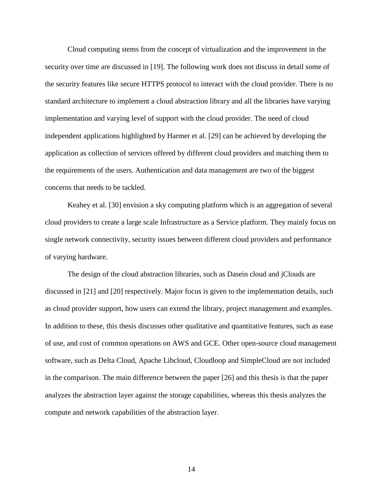Cloud computing stems from the concept of virtualization and the improvement in the security over time are discussed in [19]. The following work does not discuss in detail some of the security features like secure HTTPS protocol to interact with the cloud provider. There is no standard architecture to implement a cloud abstraction library and all the libraries have varying implementation and varying level of support with the cloud provider. The need of cloud independent applications highlighted by Harmer et al. [29] can be achieved by developing the application as collection of services offered by different cloud providers and matching them to the requirements of the users. Authentication and data management are two of the biggest concerns that needs to be tackled.

Keahey et al. [30] envision a sky computing platform which is an aggregation of several cloud providers to create a large scale Infrastructure as a Service platform. They mainly focus on single network connectivity, security issues between different cloud providers and performance of varying hardware.

The design of the cloud abstraction libraries, such as Dasein cloud and jClouds are discussed in [21] and [20] respectively. Major focus is given to the implementation details, such as cloud provider support, how users can extend the library, project management and examples. In addition to these, this thesis discusses other qualitative and quantitative features, such as ease of use, and cost of common operations on AWS and GCE. Other open-source cloud management software, such as Delta Cloud, Apache Libcloud, Cloudloop and SimpleCloud are not included in the comparison. The main difference between the paper [26] and this thesis is that the paper analyzes the abstraction layer against the storage capabilities, whereas this thesis analyzes the compute and network capabilities of the abstraction layer.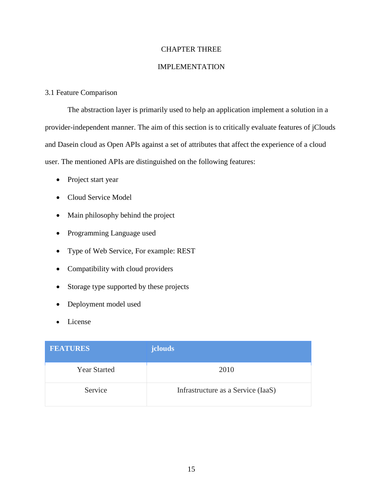# CHAPTER THREE

# IMPLEMENTATION

# 3.1 Feature Comparison

The abstraction layer is primarily used to help an application implement a solution in a provider-independent manner. The aim of this section is to critically evaluate features of jClouds and Dasein cloud as Open APIs against a set of attributes that affect the experience of a cloud user. The mentioned APIs are distinguished on the following features:

- Project start year
- Cloud Service Model
- Main philosophy behind the project
- Programming Language used
- Type of Web Service, For example: REST
- Compatibility with cloud providers
- Storage type supported by these projects
- Deployment model used
- License

| <b>FEATURES</b>     | jclouds                            |
|---------------------|------------------------------------|
| <b>Year Started</b> | 2010                               |
| Service             | Infrastructure as a Service (IaaS) |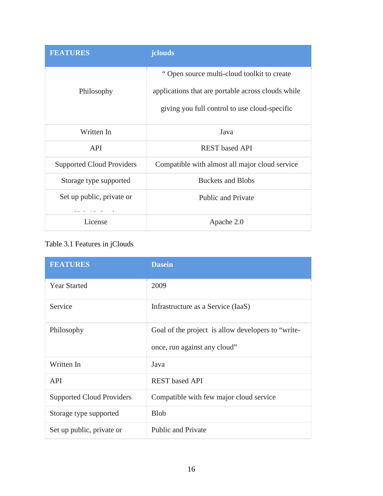| <b>FEATURES</b>                  | jclouds                                            |
|----------------------------------|----------------------------------------------------|
|                                  | "Open source multi-cloud toolkit to create         |
| Philosophy                       | applications that are portable across clouds while |
|                                  | giving you full control to use cloud-specific      |
| Written In                       | Java                                               |
| <b>API</b>                       | <b>REST</b> based API                              |
| <b>Supported Cloud Providers</b> | Compatible with almost all major cloud service     |
| Storage type supported           | <b>Buckets and Blobs</b>                           |
| Set up public, private or        | <b>Public and Private</b>                          |
|                                  |                                                    |
| License                          | Apache 2.0                                         |

# Table 3.1 Features in jClouds

| <b>FEATURES</b>                  | <b>Dasein</b>                                      |
|----------------------------------|----------------------------------------------------|
| <b>Year Started</b>              | 2009                                               |
| Service                          | Infrastructure as a Service (IaaS)                 |
| Philosophy                       | Goal of the project is allow developers to "write- |
|                                  | once, run against any cloud"                       |
| Written In                       | Java                                               |
| <b>API</b>                       | <b>REST</b> based API                              |
| <b>Supported Cloud Providers</b> | Compatible with few major cloud service            |
| Storage type supported           | <b>Blob</b>                                        |
| Set up public, private or        | <b>Public and Private</b>                          |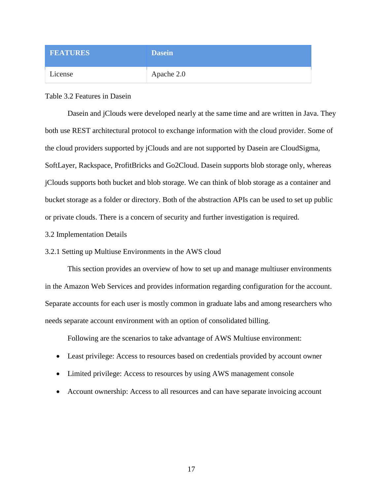| <b>FEATURES</b> | <b>Dasein</b> |
|-----------------|---------------|
| License         | Apache 2.0    |

Table 3.2 Features in Dasein

Dasein and jClouds were developed nearly at the same time and are written in Java. They both use REST architectural protocol to exchange information with the cloud provider. Some of the cloud providers supported by jClouds and are not supported by Dasein are CloudSigma, SoftLayer, Rackspace, ProfitBricks and Go2Cloud. Dasein supports blob storage only, whereas jClouds supports both bucket and blob storage. We can think of blob storage as a container and bucket storage as a folder or directory. Both of the abstraction APIs can be used to set up public or private clouds. There is a concern of security and further investigation is required.

- 3.2 Implementation Details
- 3.2.1 Setting up Multiuse Environments in the AWS cloud

This section provides an overview of how to set up and manage multiuser environments in the Amazon Web Services and provides information regarding configuration for the account. Separate accounts for each user is mostly common in graduate labs and among researchers who needs separate account environment with an option of consolidated billing.

Following are the scenarios to take advantage of AWS Multiuse environment:

- Least privilege: Access to resources based on credentials provided by account owner
- Limited privilege: Access to resources by using AWS management console
- Account ownership: Access to all resources and can have separate invoicing account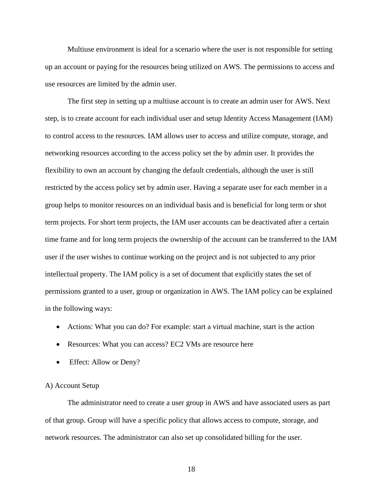Multiuse environment is ideal for a scenario where the user is not responsible for setting up an account or paying for the resources being utilized on AWS. The permissions to access and use resources are limited by the admin user.

The first step in setting up a multiuse account is to create an admin user for AWS. Next step, is to create account for each individual user and setup Identity Access Management (IAM) to control access to the resources. IAM allows user to access and utilize compute, storage, and networking resources according to the access policy set the by admin user. It provides the flexibility to own an account by changing the default credentials, although the user is still restricted by the access policy set by admin user. Having a separate user for each member in a group helps to monitor resources on an individual basis and is beneficial for long term or shot term projects. For short term projects, the IAM user accounts can be deactivated after a certain time frame and for long term projects the ownership of the account can be transferred to the IAM user if the user wishes to continue working on the project and is not subjected to any prior intellectual property. The IAM policy is a set of document that explicitly states the set of permissions granted to a user, group or organization in AWS. The IAM policy can be explained in the following ways:

- Actions: What you can do? For example: start a virtual machine, start is the action
- Resources: What you can access? EC2 VMs are resource here
- Effect: Allow or Deny?

# A) Account Setup

The administrator need to create a user group in AWS and have associated users as part of that group. Group will have a specific policy that allows access to compute, storage, and network resources. The administrator can also set up consolidated billing for the user.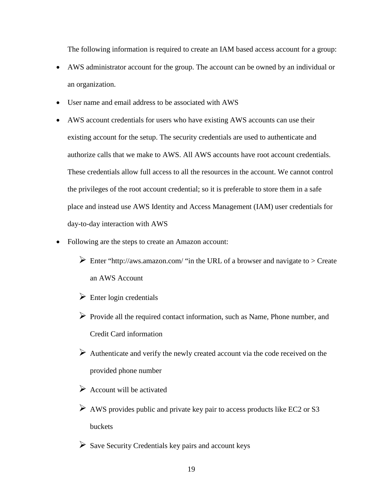The following information is required to create an IAM based access account for a group:

- AWS administrator account for the group. The account can be owned by an individual or an organization.
- User name and email address to be associated with AWS
- AWS account credentials for users who have existing AWS accounts can use their existing account for the setup. The security credentials are used to authenticate and authorize calls that we make to AWS. All AWS accounts have root account credentials. These credentials allow full access to all the resources in the account. We cannot control the privileges of the root account credential; so it is preferable to store them in a safe place and instead use AWS Identity and Access Management (IAM) user credentials for day-to-day interaction with AWS
- Following are the steps to create an Amazon account:
	- Enter "http://aws.amazon.com/ "in the URL of a browser and navigate to  $>$  Create an AWS Account
	- $\triangleright$  Enter login credentials
	- $\triangleright$  Provide all the required contact information, such as Name, Phone number, and Credit Card information
	- $\triangleright$  Authenticate and verify the newly created account via the code received on the provided phone number
	- $\triangleright$  Account will be activated
	- $\triangleright$  AWS provides public and private key pair to access products like EC2 or S3 buckets
	- $\triangleright$  Save Security Credentials key pairs and account keys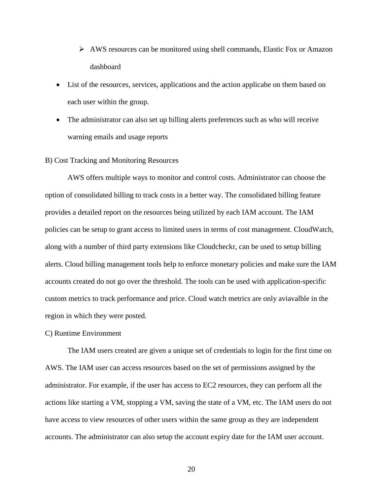- $\triangleright$  AWS resources can be monitored using shell commands, Elastic Fox or Amazon dashboard
- List of the resources, services, applications and the action applicabe on them based on each user within the group.
- The administrator can also set up billing alerts preferences such as who will receive warning emails and usage reports

#### B) Cost Tracking and Monitoring Resources

AWS offers multiple ways to monitor and control costs. Administrator can choose the option of consolidated billing to track costs in a better way. The consolidated billing feature provides a detailed report on the resources being utilized by each IAM account. The IAM policies can be setup to grant access to limited users in terms of cost management. CloudWatch, along with a number of third party extensions like Cloudcheckr, can be used to setup billing alerts. Cloud billing management tools help to enforce monetary policies and make sure the IAM accounts created do not go over the threshold. The tools can be used with application-specific custom metrics to track performance and price. Cloud watch metrics are only aviavalble in the region in which they were posted.

## C) Runtime Environment

The IAM users created are given a unique set of credentials to login for the first time on AWS. The IAM user can access resources based on the set of permissions assigned by the administrator. For example, if the user has access to EC2 resources, they can perform all the actions like starting a VM, stopping a VM, saving the state of a VM, etc. The IAM users do not have access to view resources of other users within the same group as they are independent accounts. The administrator can also setup the account expiry date for the IAM user account.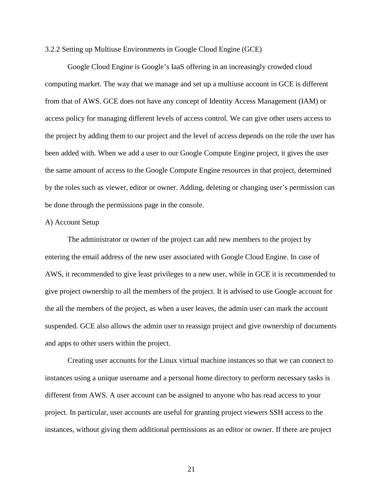3.2.2 Setting up Multiuse Environments in Google Cloud Engine (GCE)

Google Cloud Engine is Google's IaaS offering in an increasingly crowded cloud computing market. The way that we manage and set up a multiuse account in GCE is different from that of AWS. GCE does not have any concept of Identity Access Management (IAM) or access policy for managing different levels of access control. We can give other users access to the project by adding them to our project and the level of access depends on the role the user has been added with. When we add a user to our Google Compute Engine project, it gives the user the same amount of access to the Google Compute Engine resources in that project, determined by the roles such as viewer, editor or owner. Adding, deleting or changing user's permission can be done through the permissions page in the console.

#### A) Account Setup

The administrator or owner of the project can add new members to the project by entering the email address of the new user associated with Google Cloud Engine. In case of AWS, it recommended to give least privileges to a new user, while in GCE it is recommended to give project ownership to all the members of the project. It is advised to use Google account for the all the members of the project, as when a user leaves, the admin user can mark the account suspended. GCE also allows the admin user to reassign project and give ownership of documents and apps to other users within the project.

Creating user accounts for the Linux virtual machine instances so that we can connect to instances using a unique username and a personal home directory to perform necessary tasks is different from AWS. A user account can be assigned to anyone who has read access to your project. In particular, user accounts are useful for granting project viewers SSH access to the instances, without giving them additional permissions as an editor or owner. If there are project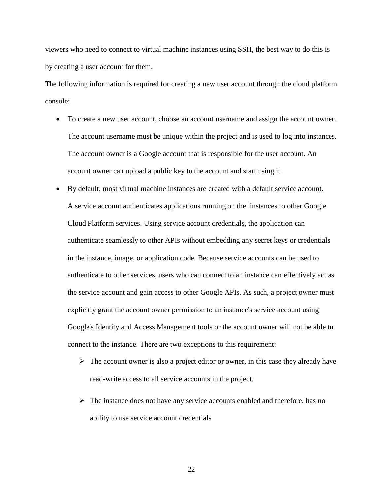viewers who need to connect to virtual machine instances using SSH, the best way to do this is by creating a user account for them.

The following information is required for creating a new user account through the cloud platform console:

- To create a new user account, choose an account username and assign the account owner. The account username must be unique within the project and is used to log into instances. The account owner is a Google account that is responsible for the user account. An account owner can upload a public key to the account and start using it.
- By default, most virtual machine instances are created with a default service account. A [service account](https://cloud.google.com/compute/docs/authentication) authenticates applications running on the instances to other Google Cloud Platform services. Using service account credentials, the application can authenticate seamlessly to other APIs without embedding any secret keys or credentials in the instance, image, or application code. Because service accounts can be used to authenticate to other services, users who can connect to an instance can effectively act as the service account and gain access to other Google APIs. As such, a project owner must explicitly grant the account owner permission to an instance's service account using Google's [Identity and Access Management tools](https://cloud.google.com/iam) or the account owner will not be able to connect to the instance. There are two exceptions to this requirement:
	- $\triangleright$  The account owner is also a project editor or owner, in this case they already have read-write access to all service accounts in the project.
	- $\triangleright$  The instance does not have any service accounts enabled and therefore, has no ability to use service account credentials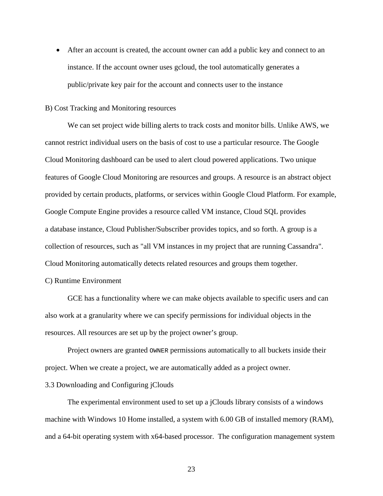• After an account is created, the account owner can add a public key and connect to an instance. If the account owner uses gcloud, the tool automatically generates a public/private key pair for the account and connects user to the instance

# B) Cost Tracking and Monitoring resources

We can set project wide billing alerts to track costs and monitor bills. Unlike AWS, we cannot restrict individual users on the basis of cost to use a particular resource. The Google Cloud Monitoring dashboard can be used to alert cloud powered applications. Two unique features of Google Cloud Monitoring are resources and groups. A resource is an abstract object provided by certain products, platforms, or services within Google Cloud Platform. For example, Google Compute Engine provides a resource called VM instance, Cloud SQL provides a database instance, Cloud Publisher/Subscriber provides topics, and so forth. A group is a collection of resources, such as "all VM instances in my project that are running Cassandra". Cloud Monitoring automatically detects related resources and groups them together.

#### C) Runtime Environment

GCE has a functionality where we can make objects available to specific users and can also work at a granularity where we can specify permissions for individual objects in the resources. All resources are set up by the project owner's group.

Project owners are granted OWNER permissions automatically to all buckets inside their project. When we create a project, we are automatically added as a project owner.

#### 3.3 Downloading and Configuring jClouds

The experimental environment used to set up a jClouds library consists of a windows machine with Windows 10 Home installed, a system with 6.00 GB of installed memory (RAM), and a 64-bit operating system with x64-based processor. The configuration management system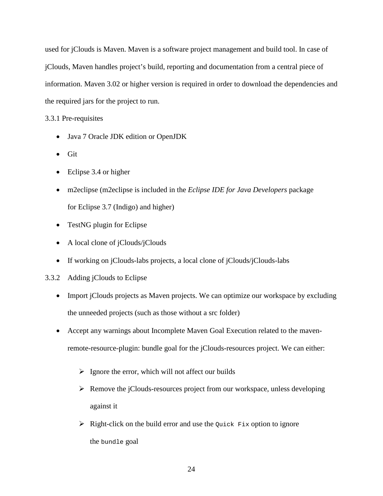used for jClouds is Maven. Maven is a software project management and build tool. In case of jClouds, Maven handles project's build, reporting and documentation from a central piece of information. Maven 3.02 or higher version is required in order to download the dependencies and the required jars for the project to run.

# 3.3.1 Pre-requisites

- Java 7 Oracle JDK edition or OpenJDK
- Git
- Eclipse 3.4 or higher
- m2eclipse (m2eclipse is included in the *Eclipse IDE for Java Developers* package for Eclipse 3.7 (Indigo) and higher)
- TestNG plugin for Eclipse
- A local clone of jClouds/jClouds
- If working on jClouds-labs projects, a local clone of jClouds/jClouds-labs

# 3.3.2 Adding jClouds to Eclipse

- Import jClouds projects as Maven projects. We can optimize our workspace by excluding the unneeded projects (such as those without a src folder)
- Accept any warnings about Incomplete Maven Goal Execution related to the mavenremote-resource-plugin: bundle goal for the jClouds-resources project. We can either:
	- $\triangleright$  Ignore the error, which will not affect our builds
	- $\triangleright$  Remove the jClouds-resources project from our workspace, unless developing against it
	- $\triangleright$  Right-click on the build error and use the Quick Fix option to ignore the bundle goal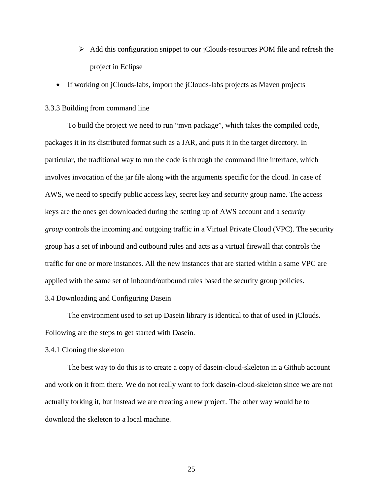- $\triangleright$  Add this configuration snippet to our jClouds-resources POM file and refresh the project in Eclipse
- If working on jClouds-labs, import the jClouds-labs projects as Maven projects

#### 3.3.3 Building from command line

To build the project we need to run "mvn package", which takes the compiled code, packages it in its distributed format such as a JAR, and puts it in the target directory. In particular, the traditional way to run the code is through the command line interface, which involves invocation of the jar file along with the arguments specific for the cloud. In case of AWS, we need to specify public access key, secret key and security group name. The access keys are the ones get downloaded during the setting up of AWS account and a *security group* controls the incoming and outgoing traffic in a Virtual Private Cloud (VPC). The security group has a set of inbound and outbound rules and acts as a virtual firewall that controls the traffic for one or more instances. All the new instances that are started within a same VPC are applied with the same set of inbound/outbound rules based the security group policies.

# 3.4 Downloading and Configuring Dasein

The environment used to set up Dasein library is identical to that of used in jClouds. Following are the steps to get started with Dasein.

#### 3.4.1 Cloning the skeleton

The best way to do this is to create a copy of dasein-cloud-skeleton in a Github account and work on it from there. We do not really want to fork dasein-cloud-skeleton since we are not actually forking it, but instead we are creating a new project. The other way would be to download the skeleton to a local machine.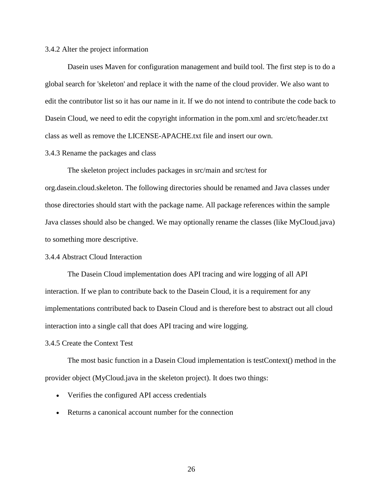#### 3.4.2 Alter the project information

Dasein uses Maven for configuration management and build tool. The first step is to do a global search for 'skeleton' and replace it with the name of the cloud provider. We also want to edit the contributor list so it has our name in it. If we do not intend to contribute the code back to Dasein Cloud, we need to edit the copyright information in the pom.xml and src/etc/header.txt class as well as remove the LICENSE-APACHE.txt file and insert our own.

## 3.4.3 Rename the packages and class

The skeleton project includes packages in src/main and src/test for org.dasein.cloud.skeleton. The following directories should be renamed and Java classes under those directories should start with the package name. All package references within the sample Java classes should also be changed. We may optionally rename the classes (like MyCloud.java) to something more descriptive.

#### 3.4.4 Abstract Cloud Interaction

The Dasein Cloud implementation does API tracing and wire logging of all API interaction. If we plan to contribute back to the Dasein Cloud, it is a requirement for any implementations contributed back to Dasein Cloud and is therefore best to abstract out all cloud interaction into a single call that does API tracing and wire logging.

## 3.4.5 Create the Context Test

The most basic function in a Dasein Cloud implementation is testContext() method in the provider object (MyCloud.java in the skeleton project). It does two things:

- Verifies the configured API access credentials
- Returns a canonical account number for the connection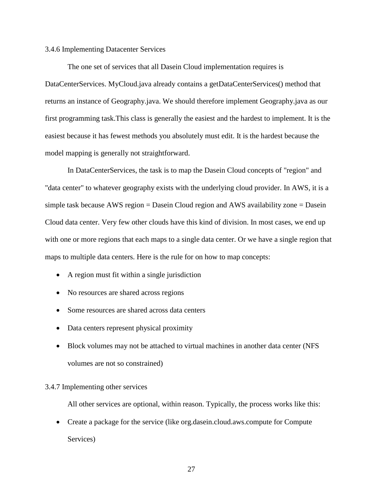#### 3.4.6 Implementing Datacenter Services

The one set of services that all Dasein Cloud implementation requires is DataCenterServices. MyCloud.java already contains a getDataCenterServices() method that returns an instance of Geography.java. We should therefore implement Geography.java as our first programming task.This class is generally the easiest and the hardest to implement. It is the easiest because it has fewest methods you absolutely must edit. It is the hardest because the model mapping is generally not straightforward.

In DataCenterServices, the task is to map the Dasein Cloud concepts of "region" and "data center" to whatever geography exists with the underlying cloud provider. In AWS, it is a simple task because AWS region = Dasein Cloud region and AWS availability zone = Dasein Cloud data center. Very few other clouds have this kind of division. In most cases, we end up with one or more regions that each maps to a single data center. Or we have a single region that maps to multiple data centers. Here is the rule for on how to map concepts:

- A region must fit within a single jurisdiction
- No resources are shared across regions
- Some resources are shared across data centers
- Data centers represent physical proximity
- Block volumes may not be attached to virtual machines in another data center (NFS volumes are not so constrained)

### 3.4.7 Implementing other services

All other services are optional, within reason. Typically, the process works like this:

• Create a package for the service (like org.dasein.cloud.aws.compute for Compute Services)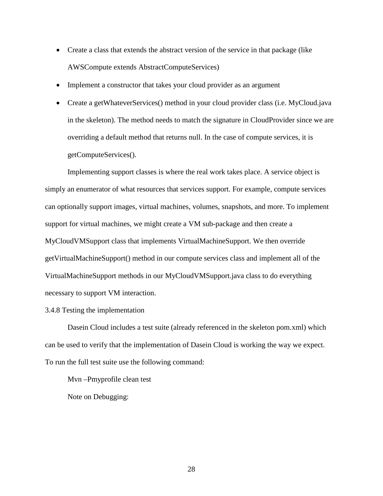- Create a class that extends the abstract version of the service in that package (like AWSCompute extends AbstractComputeServices)
- Implement a constructor that takes your cloud provider as an argument
- Create a getWhateverServices() method in your cloud provider class (i.e. MyCloud.java in the skeleton). The method needs to match the signature in CloudProvider since we are overriding a default method that returns null. In the case of compute services, it is getComputeServices().

Implementing support classes is where the real work takes place. A service object is simply an enumerator of what resources that services support. For example, compute services can optionally support images, virtual machines, volumes, snapshots, and more. To implement support for virtual machines, we might create a VM sub-package and then create a MyCloudVMSupport class that implements VirtualMachineSupport. We then override getVirtualMachineSupport() method in our compute services class and implement all of the VirtualMachineSupport methods in our MyCloudVMSupport.java class to do everything necessary to support VM interaction.

## 3.4.8 Testing the implementation

Dasein Cloud includes a test suite (already referenced in the skeleton pom.xml) which can be used to verify that the implementation of Dasein Cloud is working the way we expect. To run the full test suite use the following command:

Mvn –Pmyprofile clean test

Note on Debugging: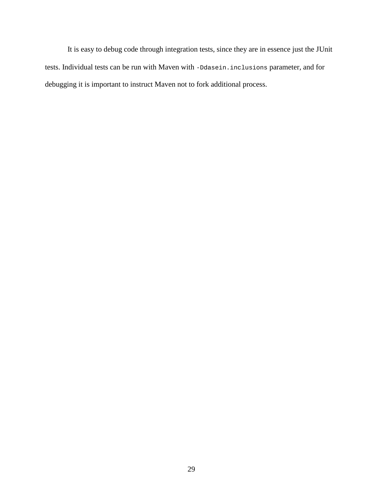It is easy to debug code through integration tests, since they are in essence just the JUnit tests. Individual tests can be run with Maven with -Ddasein.inclusions parameter, and for debugging it is important to instruct Maven not to fork additional process.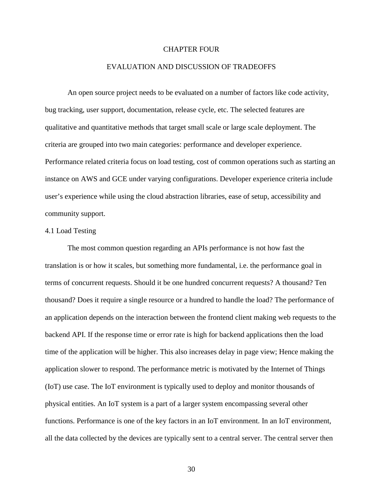# CHAPTER FOUR

## EVALUATION AND DISCUSSION OF TRADEOFFS

An open source project needs to be evaluated on a number of factors like code activity, bug tracking, user support, documentation, release cycle, etc. The selected features are qualitative and quantitative methods that target small scale or large scale deployment. The criteria are grouped into two main categories: performance and developer experience. Performance related criteria focus on load testing, cost of common operations such as starting an instance on AWS and GCE under varying configurations. Developer experience criteria include user's experience while using the cloud abstraction libraries, ease of setup, accessibility and community support.

# 4.1 Load Testing

The most common question regarding an APIs performance is not how fast the translation is or how it scales, but something more fundamental, i.e. the performance goal in terms of concurrent requests. Should it be one hundred concurrent requests? A thousand? Ten thousand? Does it require a single resource or a hundred to handle the load? The performance of an application depends on the interaction between the frontend client making web requests to the backend API. If the response time or error rate is high for backend applications then the load time of the application will be higher. This also increases delay in page view; Hence making the application slower to respond. The performance metric is motivated by the Internet of Things (IoT) use case. The IoT environment is typically used to deploy and monitor thousands of physical entities. An IoT system is a part of a larger system encompassing several other functions. Performance is one of the key factors in an IoT environment. In an IoT environment, all the data collected by the devices are typically sent to a central server. The central server then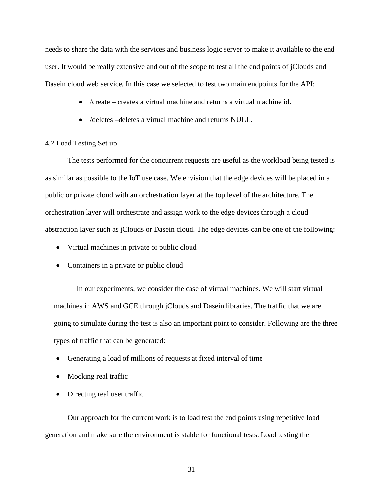needs to share the data with the services and business logic server to make it available to the end user. It would be really extensive and out of the scope to test all the end points of jClouds and Dasein cloud web service. In this case we selected to test two main endpoints for the API:

- /create creates a virtual machine and returns a virtual machine id.
- /deletes –deletes a virtual machine and returns NULL.

# 4.2 Load Testing Set up

The tests performed for the concurrent requests are useful as the workload being tested is as similar as possible to the IoT use case. We envision that the edge devices will be placed in a public or private cloud with an orchestration layer at the top level of the architecture. The orchestration layer will orchestrate and assign work to the edge devices through a cloud abstraction layer such as jClouds or Dasein cloud. The edge devices can be one of the following:

- Virtual machines in private or public cloud
- Containers in a private or public cloud

In our experiments, we consider the case of virtual machines. We will start virtual machines in AWS and GCE through jClouds and Dasein libraries. The traffic that we are going to simulate during the test is also an important point to consider. Following are the three types of traffic that can be generated:

- Generating a load of millions of requests at fixed interval of time
- Mocking real traffic
- Directing real user traffic

Our approach for the current work is to load test the end points using repetitive load generation and make sure the environment is stable for functional tests. Load testing the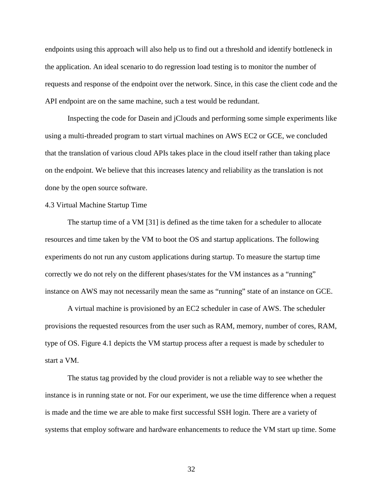endpoints using this approach will also help us to find out a threshold and identify bottleneck in the application. An ideal scenario to do regression load testing is to monitor the number of requests and response of the endpoint over the network. Since, in this case the client code and the API endpoint are on the same machine, such a test would be redundant.

Inspecting the code for Dasein and jClouds and performing some simple experiments like using a multi-threaded program to start virtual machines on AWS EC2 or GCE, we concluded that the translation of various cloud APIs takes place in the cloud itself rather than taking place on the endpoint. We believe that this increases latency and reliability as the translation is not done by the open source software.

# 4.3 Virtual Machine Startup Time

The startup time of a VM [31] is defined as the time taken for a scheduler to allocate resources and time taken by the VM to boot the OS and startup applications. The following experiments do not run any custom applications during startup. To measure the startup time correctly we do not rely on the different phases/states for the VM instances as a "running" instance on AWS may not necessarily mean the same as "running" state of an instance on GCE.

A virtual machine is provisioned by an EC2 scheduler in case of AWS. The scheduler provisions the requested resources from the user such as RAM, memory, number of cores, RAM, type of OS. Figure 4.1 depicts the VM startup process after a request is made by scheduler to start a VM.

The status tag provided by the cloud provider is not a reliable way to see whether the instance is in running state or not. For our experiment, we use the time difference when a request is made and the time we are able to make first successful SSH login. There are a variety of systems that employ software and hardware enhancements to reduce the VM start up time. Some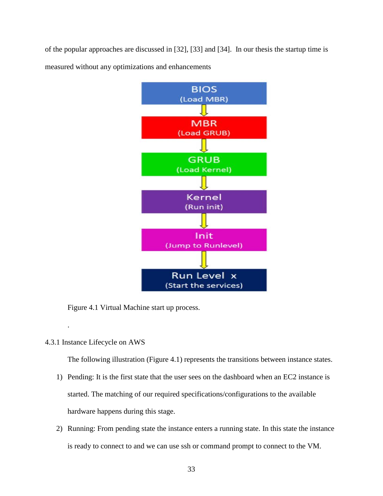of the popular approaches are discussed in [32], [33] and [34]. In our thesis the startup time is measured without any optimizations and enhancements



Figure 4.1 Virtual Machine start up process.

4.3.1 Instance Lifecycle on AWS

.

The following illustration (Figure 4.1) represents the transitions between instance states.

- 1) Pending: It is the first state that the user sees on the dashboard when an EC2 instance is started. The matching of our required specifications/configurations to the available hardware happens during this stage.
- 2) Running: From pending state the instance enters a running state. In this state the instance is ready to connect to and we can use ssh or command prompt to connect to the VM.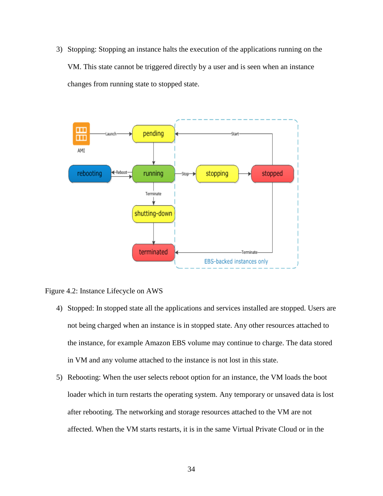3) Stopping: Stopping an instance halts the execution of the applications running on the VM. This state cannot be triggered directly by a user and is seen when an instance changes from running state to stopped state.



Figure 4.2: Instance Lifecycle on AWS

- 4) Stopped: In stopped state all the applications and services installed are stopped. Users are not being charged when an instance is in stopped state. Any other resources attached to the instance, for example Amazon EBS volume may continue to charge. The data stored in VM and any volume attached to the instance is not lost in this state.
- 5) Rebooting: When the user selects reboot option for an instance, the VM loads the boot loader which in turn restarts the operating system. Any temporary or unsaved data is lost after rebooting. The networking and storage resources attached to the VM are not affected. When the VM starts restarts, it is in the same Virtual Private Cloud or in the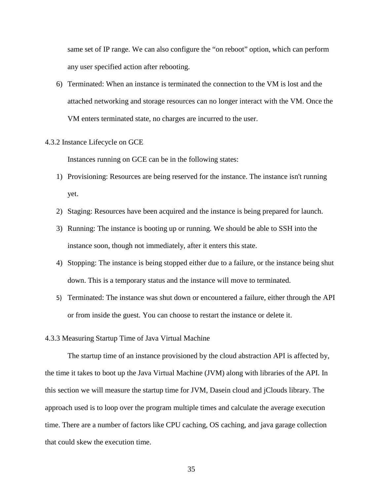same set of IP range. We can also configure the "on reboot" option, which can perform any user specified action after rebooting.

6) Terminated: When an instance is terminated the connection to the VM is lost and the attached networking and storage resources can no longer interact with the VM. Once the VM enters terminated state, no charges are incurred to the user.

#### 4.3.2 Instance Lifecycle on GCE

Instances running on GCE can be in the following states:

- 1) Provisioning: Resources are being reserved for the instance. The instance isn't running yet.
- 2) Staging: Resources have been acquired and the instance is being prepared for launch.
- 3) Running: The instance is booting up or running. We should be able to SSH into the instance soon, though not immediately, after it enters this state.
- 4) Stopping: The instance is being stopped either due to a failure, or the instance being shut down. This is a temporary status and the instance will move to terminated.
- 5) Terminated: The instance was shut down or encountered a failure, either through the API or from inside the guest. You can choose to restart the instance or delete it.

#### 4.3.3 Measuring Startup Time of Java Virtual Machine

The startup time of an instance provisioned by the cloud abstraction API is affected by, the time it takes to boot up the Java Virtual Machine (JVM) along with libraries of the API. In this section we will measure the startup time for JVM, Dasein cloud and jClouds library. The approach used is to loop over the program multiple times and calculate the average execution time. There are a number of factors like CPU caching, OS caching, and java garage collection that could skew the execution time.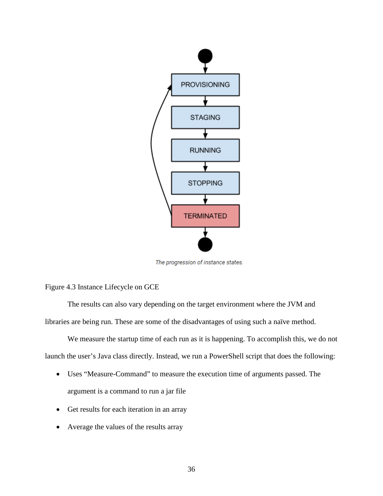

The progression of instance states.

Figure 4.3 Instance Lifecycle on GCE

The results can also vary depending on the target environment where the JVM and libraries are being run. These are some of the disadvantages of using such a naïve method.

We measure the startup time of each run as it is happening. To accomplish this, we do not launch the user's Java class directly. Instead, we run a PowerShell script that does the following:

- Uses "Measure-Command" to measure the execution time of arguments passed. The argument is a command to run a jar file
- Get results for each iteration in an array
- Average the values of the results array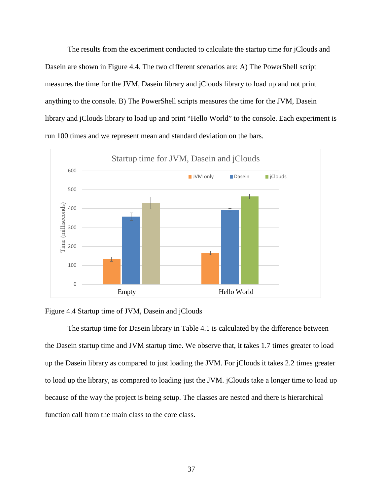The results from the experiment conducted to calculate the startup time for jClouds and Dasein are shown in Figure 4.4. The two different scenarios are: A) The PowerShell script measures the time for the JVM, Dasein library and jClouds library to load up and not print anything to the console. B) The PowerShell scripts measures the time for the JVM, Dasein library and jClouds library to load up and print "Hello World" to the console. Each experiment is run 100 times and we represent mean and standard deviation on the bars.





The startup time for Dasein library in Table 4.1 is calculated by the difference between the Dasein startup time and JVM startup time. We observe that, it takes 1.7 times greater to load up the Dasein library as compared to just loading the JVM. For jClouds it takes 2.2 times greater to load up the library, as compared to loading just the JVM. jClouds take a longer time to load up because of the way the project is being setup. The classes are nested and there is hierarchical function call from the main class to the core class.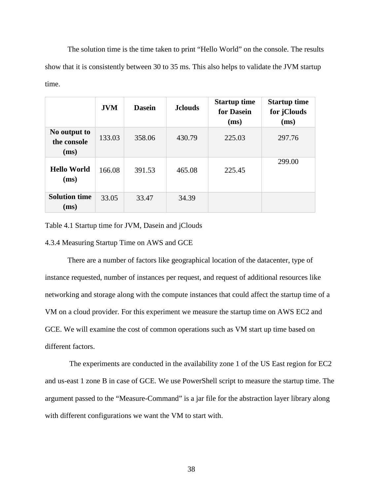The solution time is the time taken to print "Hello World" on the console. The results show that it is consistently between 30 to 35 ms. This also helps to validate the JVM startup time.

|                                     | <b>JVM</b> | <b>Dasein</b> | <b>J</b> clouds | <b>Startup time</b><br>for Dasein<br>(ms) | <b>Startup time</b><br>for jClouds<br>(ms) |
|-------------------------------------|------------|---------------|-----------------|-------------------------------------------|--------------------------------------------|
| No output to<br>the console<br>(ms) | 133.03     | 358.06        | 430.79          | 225.03                                    | 297.76                                     |
| <b>Hello World</b><br>(ms)          | 166.08     | 391.53        | 465.08          | 225.45                                    | 299.00                                     |
| <b>Solution time</b><br>(ms)        | 33.05      | 33.47         | 34.39           |                                           |                                            |

Table 4.1 Startup time for JVM, Dasein and jClouds

# 4.3.4 Measuring Startup Time on AWS and GCE

There are a number of factors like geographical location of the datacenter, type of instance requested, number of instances per request, and request of additional resources like networking and storage along with the compute instances that could affect the startup time of a VM on a cloud provider. For this experiment we measure the startup time on AWS EC2 and GCE. We will examine the cost of common operations such as VM start up time based on different factors.

The experiments are conducted in the availability zone 1 of the US East region for EC2 and us-east 1 zone B in case of GCE. We use PowerShell script to measure the startup time. The argument passed to the "Measure-Command" is a jar file for the abstraction layer library along with different configurations we want the VM to start with.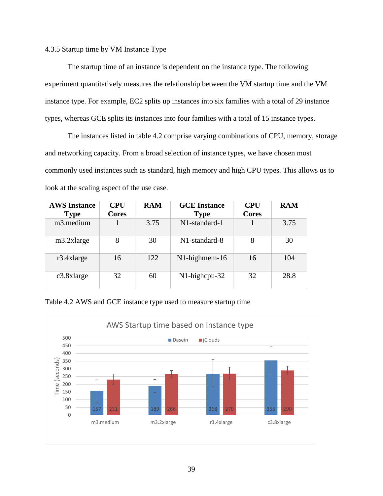## 4.3.5 Startup time by VM Instance Type

The startup time of an instance is dependent on the instance type. The following experiment quantitatively measures the relationship between the VM startup time and the VM instance type. For example, EC2 splits up instances into six families with a total of 29 instance types, whereas GCE splits its instances into four families with a total of 15 instance types.

The instances listed in table 4.2 comprise varying combinations of CPU, memory, storage and networking capacity. From a broad selection of instance types, we have chosen most commonly used instances such as standard, high memory and high CPU types. This allows us to look at the scaling aspect of the use case.

| <b>AWS Instance</b><br><b>Type</b> | <b>CPU</b><br><b>Cores</b> | <b>RAM</b> | <b>GCE</b> Instance<br><b>Type</b> | <b>CPU</b><br><b>Cores</b> | <b>RAM</b> |
|------------------------------------|----------------------------|------------|------------------------------------|----------------------------|------------|
| m3.medium                          |                            | 3.75       | N1-standard-1                      |                            | 3.75       |
| m3.2xlarge                         | 8                          | 30         | N1-standard-8                      | 8                          | 30         |
| $r3.4x$ large                      | 16                         | 122        | N1-highmem-16                      | 16                         | 104        |
| $c3.8x$ large                      | 32                         | 60         | $N1$ -highcpu-32                   | 32                         | 28.8       |

Table 4.2 AWS and GCE instance type used to measure startup time

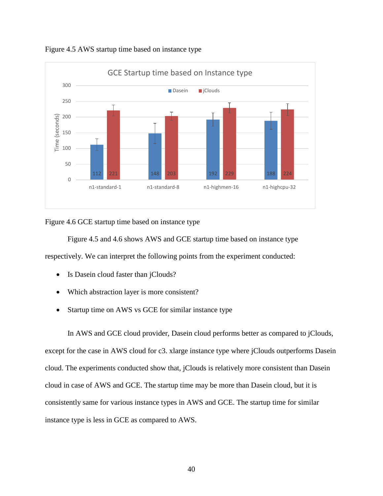

Figure 4.5 AWS startup time based on instance type

Figure 4.6 GCE startup time based on instance type

Figure 4.5 and 4.6 shows AWS and GCE startup time based on instance type respectively. We can interpret the following points from the experiment conducted:

- Is Dasein cloud faster than jClouds?
- Which abstraction layer is more consistent?
- Startup time on AWS vs GCE for similar instance type

In AWS and GCE cloud provider, Dasein cloud performs better as compared to jClouds, except for the case in AWS cloud for c3. xlarge instance type where jClouds outperforms Dasein cloud. The experiments conducted show that, jClouds is relatively more consistent than Dasein cloud in case of AWS and GCE. The startup time may be more than Dasein cloud, but it is consistently same for various instance types in AWS and GCE. The startup time for similar instance type is less in GCE as compared to AWS.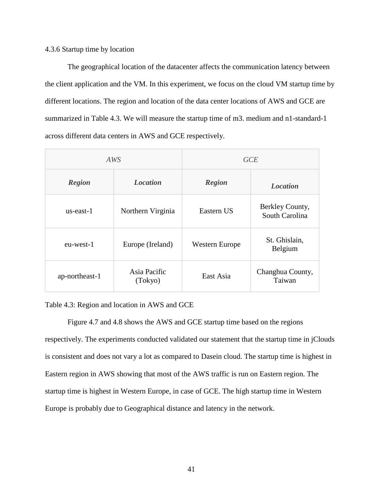## 4.3.6 Startup time by location

The geographical location of the datacenter affects the communication latency between the client application and the VM. In this experiment, we focus on the cloud VM startup time by different locations. The region and location of the data center locations of AWS and GCE are summarized in Table 4.3. We will measure the startup time of m3. medium and n1-standard-1 across different data centers in AWS and GCE respectively.

|                | AWS                     | <b>GCE</b>     |                                   |  |
|----------------|-------------------------|----------------|-----------------------------------|--|
| <b>Region</b>  | <b>Location</b>         |                | <i>Location</i>                   |  |
| us-east-1      | Northern Virginia       | Eastern US     | Berkley County,<br>South Carolina |  |
| eu-west-1      | Europe (Ireland)        | Western Europe | St. Ghislain,<br>Belgium          |  |
| ap-northeast-1 | Asia Pacific<br>(Tokyo) | East Asia      | Changhua County,<br>Taiwan        |  |

Table 4.3: Region and location in AWS and GCE

Figure 4.7 and 4.8 shows the AWS and GCE startup time based on the regions respectively. The experiments conducted validated our statement that the startup time in jClouds is consistent and does not vary a lot as compared to Dasein cloud. The startup time is highest in Eastern region in AWS showing that most of the AWS traffic is run on Eastern region. The startup time is highest in Western Europe, in case of GCE. The high startup time in Western Europe is probably due to Geographical distance and latency in the network.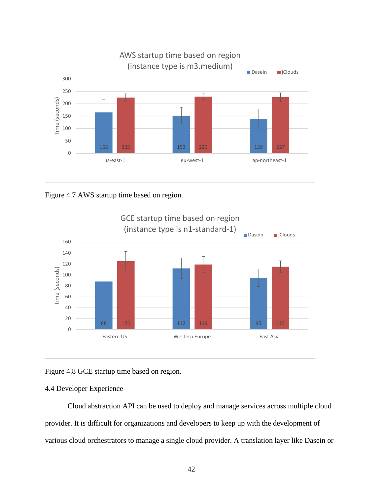

Figure 4.7 AWS startup time based on region.



Figure 4.8 GCE startup time based on region.

# 4.4 Developer Experience

Cloud abstraction API can be used to deploy and manage services across multiple cloud provider. It is difficult for organizations and developers to keep up with the development of various cloud orchestrators to manage a single cloud provider. A translation layer like Dasein or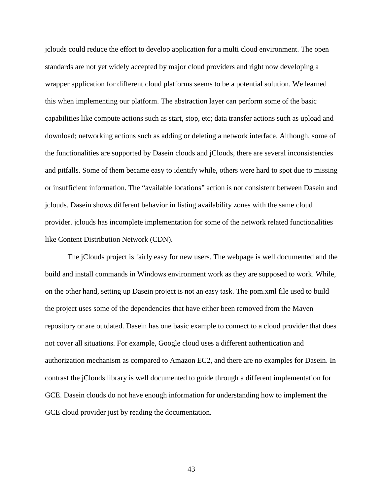jclouds could reduce the effort to develop application for a multi cloud environment. The open standards are not yet widely accepted by major cloud providers and right now developing a wrapper application for different cloud platforms seems to be a potential solution. We learned this when implementing our platform. The abstraction layer can perform some of the basic capabilities like compute actions such as start, stop, etc; data transfer actions such as upload and download; networking actions such as adding or deleting a network interface. Although, some of the functionalities are supported by Dasein clouds and jClouds, there are several inconsistencies and pitfalls. Some of them became easy to identify while, others were hard to spot due to missing or insufficient information. The "available locations" action is not consistent between Dasein and jclouds. Dasein shows different behavior in listing availability zones with the same cloud provider. jclouds has incomplete implementation for some of the network related functionalities like Content Distribution Network (CDN).

The jClouds project is fairly easy for new users. The webpage is well documented and the build and install commands in Windows environment work as they are supposed to work. While, on the other hand, setting up Dasein project is not an easy task. The pom.xml file used to build the project uses some of the dependencies that have either been removed from the Maven repository or are outdated. Dasein has one basic example to connect to a cloud provider that does not cover all situations. For example, Google cloud uses a different authentication and authorization mechanism as compared to Amazon EC2, and there are no examples for Dasein. In contrast the jClouds library is well documented to guide through a different implementation for GCE. Dasein clouds do not have enough information for understanding how to implement the GCE cloud provider just by reading the documentation.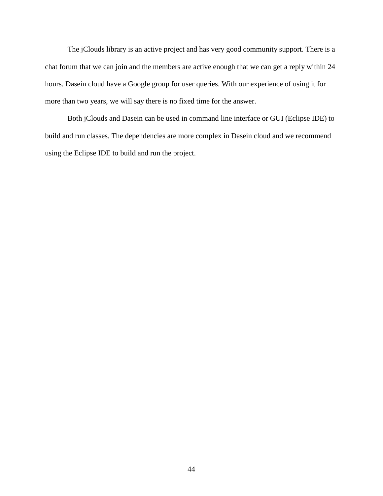The jClouds library is an active project and has very good community support. There is a chat forum that we can join and the members are active enough that we can get a reply within 24 hours. Dasein cloud have a Google group for user queries. With our experience of using it for more than two years, we will say there is no fixed time for the answer.

Both jClouds and Dasein can be used in command line interface or GUI (Eclipse IDE) to build and run classes. The dependencies are more complex in Dasein cloud and we recommend using the Eclipse IDE to build and run the project.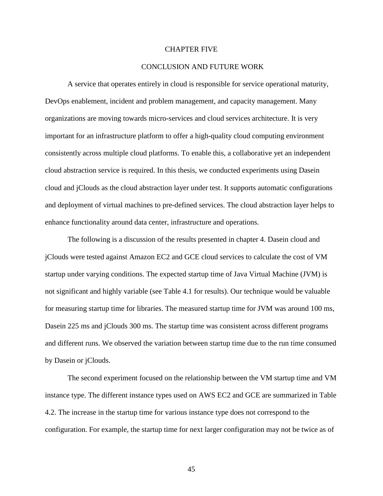## CHAPTER FIVE

#### CONCLUSION AND FUTURE WORK

A service that operates entirely in cloud is responsible for service operational maturity, DevOps enablement, incident and problem management, and capacity management. Many organizations are moving towards micro-services and cloud services architecture. It is very important for an infrastructure platform to offer a high-quality cloud computing environment consistently across multiple cloud platforms. To enable this, a collaborative yet an independent cloud abstraction service is required. In this thesis, we conducted experiments using Dasein cloud and jClouds as the cloud abstraction layer under test. It supports automatic configurations and deployment of virtual machines to pre-defined services. The cloud abstraction layer helps to enhance functionality around data center, infrastructure and operations.

The following is a discussion of the results presented in chapter 4. Dasein cloud and jClouds were tested against Amazon EC2 and GCE cloud services to calculate the cost of VM startup under varying conditions. The expected startup time of Java Virtual Machine (JVM) is not significant and highly variable (see Table 4.1 for results). Our technique would be valuable for measuring startup time for libraries. The measured startup time for JVM was around 100 ms, Dasein 225 ms and jClouds 300 ms. The startup time was consistent across different programs and different runs. We observed the variation between startup time due to the run time consumed by Dasein or jClouds.

The second experiment focused on the relationship between the VM startup time and VM instance type. The different instance types used on AWS EC2 and GCE are summarized in Table 4.2. The increase in the startup time for various instance type does not correspond to the configuration. For example, the startup time for next larger configuration may not be twice as of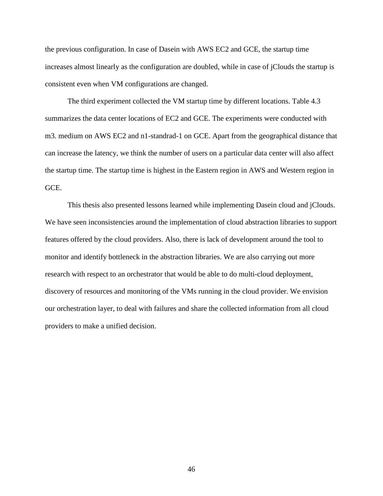the previous configuration. In case of Dasein with AWS EC2 and GCE, the startup time increases almost linearly as the configuration are doubled, while in case of jClouds the startup is consistent even when VM configurations are changed.

The third experiment collected the VM startup time by different locations. Table 4.3 summarizes the data center locations of EC2 and GCE. The experiments were conducted with m3. medium on AWS EC2 and n1-standrad-1 on GCE. Apart from the geographical distance that can increase the latency, we think the number of users on a particular data center will also affect the startup time. The startup time is highest in the Eastern region in AWS and Western region in GC<sub>E</sub>

This thesis also presented lessons learned while implementing Dasein cloud and jClouds. We have seen inconsistencies around the implementation of cloud abstraction libraries to support features offered by the cloud providers. Also, there is lack of development around the tool to monitor and identify bottleneck in the abstraction libraries. We are also carrying out more research with respect to an orchestrator that would be able to do multi-cloud deployment, discovery of resources and monitoring of the VMs running in the cloud provider. We envision our orchestration layer, to deal with failures and share the collected information from all cloud providers to make a unified decision.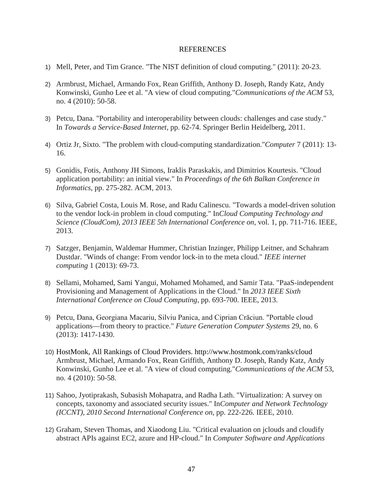#### **REFERENCES**

- 1) Mell, Peter, and Tim Grance. "The NIST definition of cloud computing." (2011): 20-23.
- 2) Armbrust, Michael, Armando Fox, Rean Griffith, Anthony D. Joseph, Randy Katz, Andy Konwinski, Gunho Lee et al. "A view of cloud computing."*Communications of the ACM* 53, no. 4 (2010): 50-58.
- 3) Petcu, Dana. "Portability and interoperability between clouds: challenges and case study." In *Towards a Service-Based Internet*, pp. 62-74. Springer Berlin Heidelberg, 2011.
- 4) Ortiz Jr, Sixto. "The problem with cloud-computing standardization."*Computer* 7 (2011): 13- 16.
- 5) Gonidis, Fotis, Anthony JH Simons, Iraklis Paraskakis, and Dimitrios Kourtesis. "Cloud application portability: an initial view." In *Proceedings of the 6th Balkan Conference in Informatics*, pp. 275-282. ACM, 2013.
- 6) Silva, Gabriel Costa, Louis M. Rose, and Radu Calinescu. "Towards a model-driven solution to the vendor lock-in problem in cloud computing." In*Cloud Computing Technology and Science (CloudCom), 2013 IEEE 5th International Conference on*, vol. 1, pp. 711-716. IEEE, 2013.
- 7) Satzger, Benjamin, Waldemar Hummer, Christian Inzinger, Philipp Leitner, and Schahram Dustdar. "Winds of change: From vendor lock-in to the meta cloud." *IEEE internet computing* 1 (2013): 69-73.
- 8) Sellami, Mohamed, Sami Yangui, Mohamed Mohamed, and Samir Tata. "PaaS-independent Provisioning and Management of Applications in the Cloud." In *2013 IEEE Sixth International Conference on Cloud Computing*, pp. 693-700. IEEE, 2013.
- 9) Petcu, Dana, Georgiana Macariu, Silviu Panica, and Ciprian Crăciun. "Portable cloud applications—from theory to practice." *Future Generation Computer Systems* 29, no. 6 (2013): 1417-1430.
- 10) HostMonk, All Rankings of Cloud Providers. http://www.hostmonk.com/ranks/cloud Armbrust, Michael, Armando Fox, Rean Griffith, Anthony D. Joseph, Randy Katz, Andy Konwinski, Gunho Lee et al. "A view of cloud computing."*Communications of the ACM* 53, no. 4 (2010): 50-58.
- 11) Sahoo, Jyotiprakash, Subasish Mohapatra, and Radha Lath. "Virtualization: A survey on concepts, taxonomy and associated security issues." In*Computer and Network Technology (ICCNT), 2010 Second International Conference on*, pp. 222-226. IEEE, 2010.
- 12) Graham, Steven Thomas, and Xiaodong Liu. "Critical evaluation on jclouds and cloudify abstract APIs against EC2, azure and HP-cloud." In *Computer Software and Applications*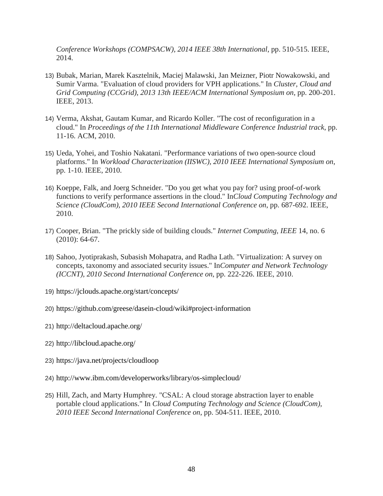*Conference Workshops (COMPSACW), 2014 IEEE 38th International*, pp. 510-515. IEEE, 2014.

- 13) Bubak, Marian, Marek Kasztelnik, Maciej Malawski, Jan Meizner, Piotr Nowakowski, and Sumir Varma. "Evaluation of cloud providers for VPH applications." In *Cluster, Cloud and Grid Computing (CCGrid), 2013 13th IEEE/ACM International Symposium on*, pp. 200-201. IEEE, 2013.
- 14) Verma, Akshat, Gautam Kumar, and Ricardo Koller. "The cost of reconfiguration in a cloud." In *Proceedings of the 11th International Middleware Conference Industrial track*, pp. 11-16. ACM, 2010.
- 15) Ueda, Yohei, and Toshio Nakatani. "Performance variations of two open-source cloud platforms." In *Workload Characterization (IISWC), 2010 IEEE International Symposium on*, pp. 1-10. IEEE, 2010.
- 16) Koeppe, Falk, and Joerg Schneider. "Do you get what you pay for? using proof-of-work functions to verify performance assertions in the cloud." In*Cloud Computing Technology and Science (CloudCom), 2010 IEEE Second International Conference on*, pp. 687-692. IEEE, 2010.
- 17) Cooper, Brian. "The prickly side of building clouds." *Internet Computing, IEEE* 14, no. 6 (2010): 64-67.
- 18) Sahoo, Jyotiprakash, Subasish Mohapatra, and Radha Lath. "Virtualization: A survey on concepts, taxonomy and associated security issues." In*Computer and Network Technology (ICCNT), 2010 Second International Conference on*, pp. 222-226. IEEE, 2010.
- 19) https://jclouds.apache.org/start/concepts/
- 20) https://github.com/greese/dasein-cloud/wiki#project-information
- 21) http://deltacloud.apache.org/
- 22) http://libcloud.apache.org/
- 23) https://java.net/projects/cloudloop
- 24) http://www.ibm.com/developerworks/library/os-simplecloud/
- 25) Hill, Zach, and Marty Humphrey. "CSAL: A cloud storage abstraction layer to enable portable cloud applications." In *Cloud Computing Technology and Science (CloudCom), 2010 IEEE Second International Conference on*, pp. 504-511. IEEE, 2010.